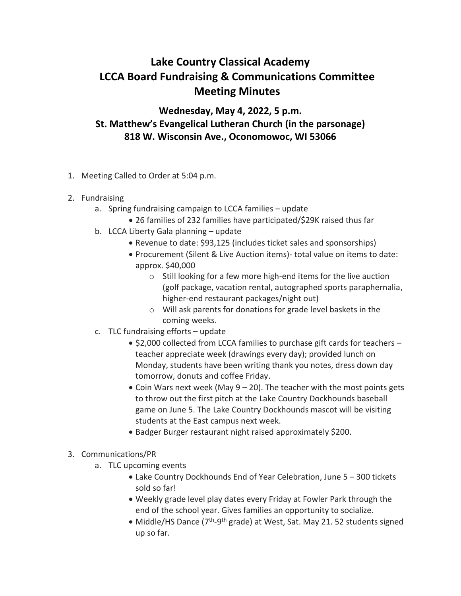## **Lake Country Classical Academy LCCA Board Fundraising & Communications Committee Meeting Minutes**

**Wednesday, May 4, 2022, 5 p.m. St. Matthew's Evangelical Lutheran Church (in the parsonage) 818 W. Wisconsin Ave., Oconomowoc, WI 53066**

- 1. Meeting Called to Order at 5:04 p.m.
- 2. Fundraising
	- a. Spring fundraising campaign to LCCA families update
		- 26 families of 232 families have participated/\$29K raised thus far
	- b. LCCA Liberty Gala planning update
		- Revenue to date: \$93,125 (includes ticket sales and sponsorships)
		- Procurement (Silent & Live Auction items)- total value on items to date: approx. \$40,000
			- o Still looking for a few more high-end items for the live auction (golf package, vacation rental, autographed sports paraphernalia, higher-end restaurant packages/night out)
			- o Will ask parents for donations for grade level baskets in the coming weeks.
	- c. TLC fundraising efforts update
		- \$2,000 collected from LCCA families to purchase gift cards for teachers teacher appreciate week (drawings every day); provided lunch on Monday, students have been writing thank you notes, dress down day tomorrow, donuts and coffee Friday.
		- Coin Wars next week (May  $9 20$ ). The teacher with the most points gets to throw out the first pitch at the Lake Country Dockhounds baseball game on June 5. The Lake Country Dockhounds mascot will be visiting students at the East campus next week.
		- Badger Burger restaurant night raised approximately \$200.
- 3. Communications/PR
	- a. TLC upcoming events
		- Lake Country Dockhounds End of Year Celebration, June 5 300 tickets sold so far!
		- Weekly grade level play dates every Friday at Fowler Park through the end of the school year. Gives families an opportunity to socialize.
		- Middle/HS Dance (7<sup>th</sup>-9<sup>th</sup> grade) at West, Sat. May 21. 52 students signed up so far.